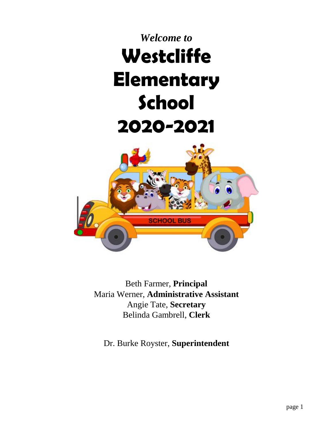# *Welcome to* **Westcliffe Elementary School 2020-2021**



Beth Farmer, **Principal** Maria Werner, **Administrative Assistant** Angie Tate, **Secretary** Belinda Gambrell, **Clerk**

Dr. Burke Royster, **Superintendent**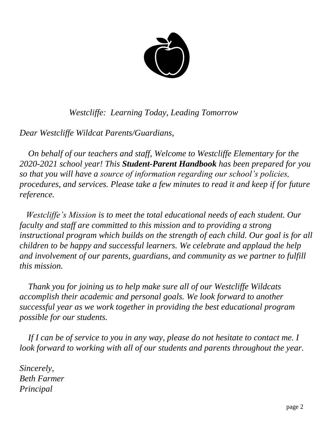

 *Westcliffe: Learning Today, Leading Tomorrow*

*Dear Westcliffe Wildcat Parents/Guardians,*

 *On behalf of our teachers and staff, Welcome to Westcliffe Elementary for the 2020-2021 school year! This Student-Parent Handbook has been prepared for you so that you will have a source of information regarding our school's policies, procedures, and services. Please take a few minutes to read it and keep if for future reference.*

 *Westcliffe's Mission is to meet the total educational needs of each student. Our faculty and staff are committed to this mission and to providing a strong instructional program which builds on the strength of each child. Our goal is for all children to be happy and successful learners. We celebrate and applaud the help and involvement of our parents, guardians, and community as we partner to fulfill this mission.*

 *Thank you for joining us to help make sure all of our Westcliffe Wildcats accomplish their academic and personal goals. We look forward to another successful year as we work together in providing the best educational program possible for our students.*

If I can be of service to you in any way, please do not hesitate to contact me. I *look forward to working with all of our students and parents throughout the year.*

*Sincerely, Beth Farmer Principal*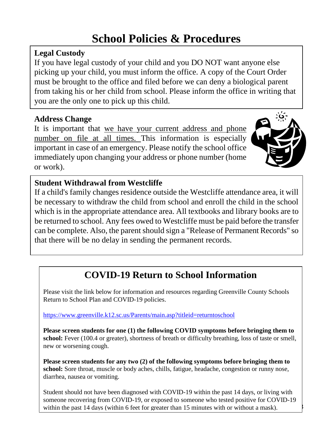# **School Policies & Procedures**

## **Legal Custody**

If you have legal custody of your child and you DO NOT want anyone else picking up your child, you must inform the office. A copy of the Court Order must be brought to the office and filed before we can deny a biological parent from taking his or her child from school. Please inform the office in writing that you are the only one to pick up this child.

## **Address Change**

It is important that we have your current address and phone number on file at all times. This information is especially important in case of an emergency. Please notify the school office immediately upon changing your address or phone number (home or work).



## **Student Withdrawal from Westcliffe**

If a child's family changes residence outside the Westcliffe attendance area, it will be necessary to withdraw the child from school and enroll the child in the school which is in the appropriate attendance area. All textbooks and library books are to be returned to school. Any fees owed to Westcliffe must be paid before the transfer can be complete. Also, the parent should sign a "Release of Permanent Records" so that there will be no delay in sending the permanent records.

# **COVID-19 Return to School Information**

Please visit the link below for information and resources regarding Greenville County Schools Return to School Plan and COVID-19 policies.

#### <https://www.greenville.k12.sc.us/Parents/main.asp?titleid=returntoschool>

**Please screen students for one (1) the following COVID symptoms before bringing them to**  school: Fever (100.4 or greater), shortness of breath or difficulty breathing, loss of taste or smell, new or worsening cough.

**Please screen students for any two (2) of the following symptoms before bringing them to school:** Sore throat, muscle or body aches, chills, fatigue, headache, congestion or runny nose, diarrhea, nausea or vomiting.

page 3 Student should not have been diagnosed with COVID-19 within the past 14 days, or living with someone recovering from COVID-19, or exposed to someone who tested positive for COVID-19 within the past 14 days (within 6 feet for greater than 15 minutes with or without a mask).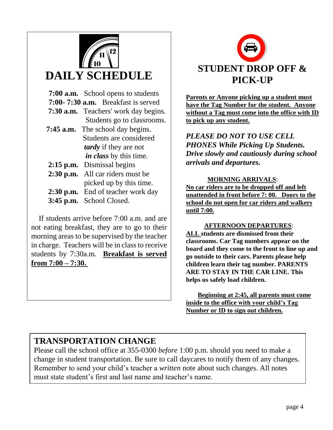

# **DAILY SCHEDULE**

| <b>7:00 a.m.</b> School opens to students |
|-------------------------------------------|
| 7:00-7:30 a.m. Breakfast is served        |
| 7:30 a.m. Teachers' work day begins.      |
| Students go to classrooms.                |
| <b>7:45 a.m.</b> The school day begins.   |
| Students are considered                   |
| <i>tardy</i> if they are not              |
| <i>in class</i> by this time.             |
| 2:15 p.m. Dismissal begins                |
| 2:30 p.m. All car riders must be          |
| picked up by this time.                   |
| 2:30 p.m. End of teacher work day         |
| 3:45 p.m. School Closed.                  |
|                                           |

 If students arrive before 7:00 a.m. and are not eating breakfast, they are to go to their morning areas to be supervised by the teacher in charge. Teachers will be in class to receive students by 7:30a.m. **Breakfast is served from 7:00 – 7:30.** 



**Parents or Anyone picking up a student must have the Tag Number for the student. Anyone without a Tag must come into the office with ID to pick up any student.** 

*PLEASE DO NOT TO USE CELL PHONES While Picking Up Students. Drive slowly and cautiously during school arrivals and departures.*

#### **MORNING ARRIVALS**:

**No car riders are to be dropped off and left unattended in front before 7: 00. Doors to the school do not open for car riders and walkers until 7:00.**

#### **AFTERNOON DEPARTURES**:

**ALL students are dismissed from their classrooms. Car Tag numbers appear on the board and they come to the front to line up and go outside to their cars. Parents please help children learn their tag number. PARENTS ARE TO STAY IN THE CAR LINE. This helps us safely load children.**

**Beginning at 2:45, all parents must come inside to the office with your child's Tag Number or ID to sign out children.**

## **TRANSPORTATION CHANGE**

Please call the school office at 355-0300 *before* 1:00 p.m. should you need to make a change in student transportation. Be sure to call daycares to notify them of any changes. Remember to send your child's teacher a *written* note about such changes. All notes must state student's first and last name and teacher's name.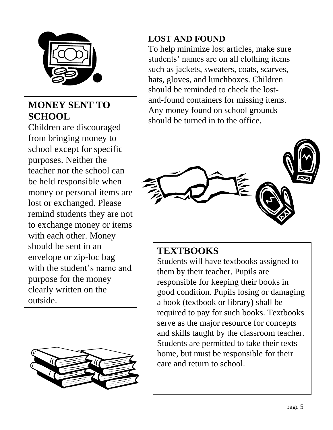

## **MONEY SENT TO SCHOOL**

Children are discouraged from bringing money to school except for specific purposes. Neither the teacher nor the school can be held responsible when money or personal items are lost or exchanged. Please remind students they are not to exchange money or items with each other. Money should be sent in an envelope or zip-loc bag with the student's name and purpose for the money clearly written on the outside.



## **LOST AND FOUND**

To help minimize lost articles, make sure students' names are on all clothing items such as jackets, sweaters, coats, scarves, hats, gloves, and lunchboxes. Children should be reminded to check the lostand-found containers for missing items. Any money found on school grounds should be turned in to the office.



## **TEXTBOOKS**

Students will have textbooks assigned to them by their teacher. Pupils are responsible for keeping their books in good condition. Pupils losing or damaging a book (textbook or library) shall be required to pay for such books. Textbooks serve as the major resource for concepts and skills taught by the classroom teacher. Students are permitted to take their texts home, but must be responsible for their care and return to school.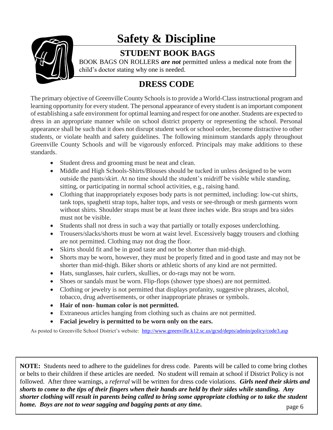

# **Safety & Discipline**

## **STUDENT BOOK BAGS**

BOOK BAGS ON ROLLERS *are not* permitted unless a medical note from the child's doctor stating why one is needed.

## **DRESS CODE**

The primary objective of Greenville County Schools is to provide a World-Class instructional program and learning opportunity for every student. The personal appearance of every student is an important component of establishing a safe environment for optimal learning and respect for one another. Students are expected to dress in an appropriate manner while on school district property or representing the school. Personal appearance shall be such that it does not disrupt student work or school order, become distractive to other students, or violate health and safety guidelines. The following minimum standards apply throughout Greenville County Schools and will be vigorously enforced. Principals may make additions to these standards.

- Student dress and grooming must be neat and clean.
- Middle and High Schools-Shirts/Blouses should be tucked in unless designed to be worn outside the pants/skirt. At no time should the student's midriff be visible while standing, sitting, or participating in normal school activities, e.g., raising hand.
- Clothing that inappropriately exposes body parts is not permitted, including: low-cut shirts, tank tops, spaghetti strap tops, halter tops, and vests or see-through or mesh garments worn without shirts. Shoulder straps must be at least three inches wide. Bra straps and bra sides must not be visible.
- Students shall not dress in such a way that partially or totally exposes underclothing.
- Trousers/slacks/shorts must be worn at waist level. Excessively baggy trousers and clothing are not permitted. Clothing may not drag the floor.
- Skirts should fit and be in good taste and not be shorter than mid-thigh.
- Shorts may be worn, however, they must be properly fitted and in good taste and may not be shorter than mid-thigh. Biker shorts or athletic shorts of any kind are not permitted.
- Hats, sunglasses, hair curlers, skullies, or do-rags may not be worn.
- Shoes or sandals must be worn. Flip-flops (shower type shoes) are not permitted.
- Clothing or jewelry is not permitted that displays profanity, suggestive phrases, alcohol, tobacco, drug advertisements, or other inappropriate phrases or symbols.
- **Hair of non- human color is not permitted.**
- Extraneous articles hanging from clothing such as chains are not permitted.
- **Facial jewelry is permitted to be worn only on the ears.**

As posted to Greenville School District's website: <http://www.greenville.k12.sc.us/gcsd/depts/admin/policy/code3.asp>

**NOTE:** Students need to adhere to the guidelines for dress code. Parents will be called to come bring clothes or belts to their children if these articles are needed. No student will remain at school if District Policy is not followed. After three warnings, a *referral* will be written for dress code violations. *Girls need their skirts and shorts to come to the tips of their fingers when their hands are held by their sides while standing. Any shorter clothing will result in parents being called to bring some appropriate clothing or to take the student home. Boys are not to wear sagging and bagging pants at any time.*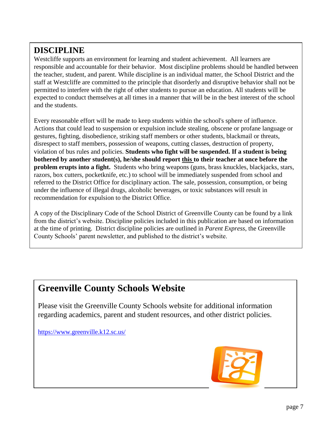## **DISCIPLINE**

Westcliffe supports an environment for learning and student achievement. All learners are responsible and accountable for their behavior. Most discipline problems should be handled between the teacher, student, and parent. While discipline is an individual matter, the School District and the staff at Westcliffe are committed to the principle that disorderly and disruptive behavior shall not be permitted to interfere with the right of other students to pursue an education. All students will be expected to conduct themselves at all times in a manner that will be in the best interest of the school and the students.

Every reasonable effort will be made to keep students within the school's sphere of influence. Actions that could lead to suspension or expulsion include stealing, obscene or profane language or gestures, fighting, disobedience, striking staff members or other students, blackmail or threats, disrespect to staff members, possession of weapons, cutting classes, destruction of property, violation of bus rules and policies. **Students who fight will be suspended. If a student is being bothered by another student(s), he/she should report this to their teacher at once before the problem erupts into a fight.** Students who bring weapons (guns, brass knuckles, blackjacks, stars, razors, box cutters, pocketknife, etc.) to school will be immediately suspended from school and referred to the District Office for disciplinary action. The sale, possession, consumption, or being under the influence of illegal drugs, alcoholic beverages, or toxic substances will result in recommendation for expulsion to the District Office.

A copy of the Disciplinary Code of the School District of Greenville County can be found by a link from the district's website. Discipline policies included in this publication are based on information at the time of printing. District discipline policies are outlined in *Parent Express*, the Greenville County Schools' parent newsletter, and published to the district's website.

## **Greenville County Schools Website**

Please visit the Greenville County Schools website for additional information regarding academics, parent and student resources, and other district policies.

<https://www.greenville.k12.sc.us/>



 $\overline{a}$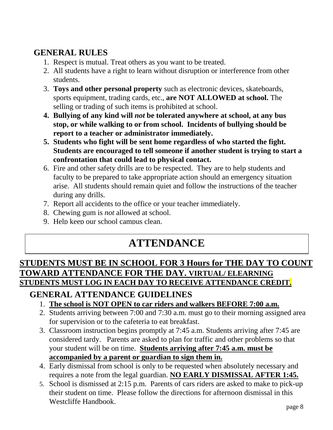## **GENERAL RULES**

- 1. Respect is mutual. Treat others as you want to be treated.
- 2. All students have a right to learn without disruption or interference from other students.
- 3. **Toys and other personal property** such as electronic devices, skateboards, sports equipment, trading cards, etc., **are NOT ALLOWED at school.** The selling or trading of such items is prohibited at school.
- **4. Bullying of any kind will** *not* **be tolerated anywhere at school, at any bus stop, or while walking to or from school. Incidents of bullying should be report to a teacher or administrator immediately.**
- **5. Students who fight will be sent home regardless of who started the fight. Students are encouraged to tell someone if another student is trying to start a confrontation that could lead to physical contact.**
- 6. Fire and other safety drills are to be respected. They are to help students and faculty to be prepared to take appropriate action should an emergency situation arise. All students should remain quiet and follow the instructions of the teacher during any drills.
- 7. Report all accidents to the office or your teacher immediately.
- 8. Chewing gum is *not* allowed at school.
- 9. Help keep our school campus clean.

# **ATTENDANCE**

## **STUDENTS MUST BE IN SCHOOL FOR 3 Hours for THE DAY TO COUNT TOWARD ATTENDANCE FOR THE DAY. VIRTUAL/ ELEARNING STUDENTS MUST LOG IN EACH DAY TO RECEIVE ATTENDANCE CREDIT.**

## **GENERAL ATTENDANCE GUIDELINES**

- 1. **The school is NOT OPEN to car riders and walkers BEFORE 7:00 a.m.**
- 2. Students arriving between 7:00 and 7:30 a.m. must go to their morning assigned area for supervision or to the cafeteria to eat breakfast.
- 3. Classroom instruction begins promptly at 7:45 a.m. Students arriving after 7:45 are considered tardy. Parents are asked to plan for traffic and other problems so that your student will be on time. **Students arriving after 7:45 a.m. must be accompanied by a parent or guardian to sign them in.**
- 4. Early dismissal from school is only to be requested when absolutely necessary and requires a note from the legal guardian. **NO EARLY DISMISSAL AFTER 1:45.**
- 5. School is dismissed at 2:15 p.m. Parents of cars riders are asked to make to pick-up their student on time. Please follow the directions for afternoon dismissal in this Westcliffe Handbook.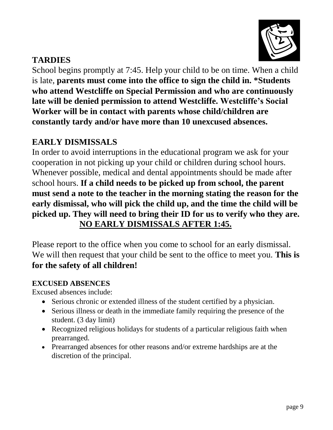

## **TARDIES**

School begins promptly at 7:45. Help your child to be on time. When a child is late, **parents must come into the office to sign the child in. \*Students who attend Westcliffe on Special Permission and who are continuously late will be denied permission to attend Westcliffe. Westcliffe's Social Worker will be in contact with parents whose child/children are constantly tardy and/or have more than 10 unexcused absences.** 

## **EARLY DISMISSALS**

In order to avoid interruptions in the educational program we ask for your cooperation in not picking up your child or children during school hours. Whenever possible, medical and dental appointments should be made after school hours. **If a child needs to be picked up from school, the parent must send a note to the teacher in the morning stating the reason for the early dismissal, who will pick the child up, and the time the child will be picked up. They will need to bring their ID for us to verify who they are. NO EARLY DISMISSALS AFTER 1:45.** 

Please report to the office when you come to school for an early dismissal. We will then request that your child be sent to the office to meet you. **This is for the safety of all children!** 

## **EXCUSED ABSENCES**

Excused absences include:

- Serious chronic or extended illness of the student certified by a physician.
- Serious illness or death in the immediate family requiring the presence of the student. (3 day limit)
- Recognized religious holidays for students of a particular religious faith when prearranged.
- Prearranged absences for other reasons and/or extreme hardships are at the discretion of the principal.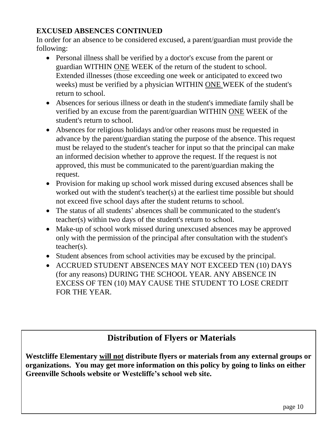### **EXCUSED ABSENCES CONTINUED**

In order for an absence to be considered excused, a parent/guardian must provide the following:

- Personal illness shall be verified by a doctor's excuse from the parent or guardian WITHIN ONE WEEK of the return of the student to school. Extended illnesses (those exceeding one week or anticipated to exceed two weeks) must be verified by a physician WITHIN ONE WEEK of the student's return to school.
- Absences for serious illness or death in the student's immediate family shall be verified by an excuse from the parent/guardian WITHIN ONE WEEK of the student's return to school.
- Absences for religious holidays and/or other reasons must be requested in advance by the parent/guardian stating the purpose of the absence. This request must be relayed to the student's teacher for input so that the principal can make an informed decision whether to approve the request. If the request is not approved, this must be communicated to the parent/guardian making the request.
- Provision for making up school work missed during excused absences shall be worked out with the student's teacher(s) at the earliest time possible but should not exceed five school days after the student returns to school.
- The status of all students' absences shall be communicated to the student's teacher(s) within two days of the student's return to school.
- Make-up of school work missed during unexcused absences may be approved only with the permission of the principal after consultation with the student's teacher(s).
- Student absences from school activities may be excused by the principal.
- ACCRUED STUDENT ABSENCES MAY NOT EXCEED TEN (10) DAYS (for any reasons) DURING THE SCHOOL YEAR. ANY ABSENCE IN EXCESS OF TEN (10) MAY CAUSE THE STUDENT TO LOSE CREDIT FOR THE YEAR.

## **Distribution of Flyers or Materials**

**Westcliffe Elementary will not distribute flyers or materials from any external groups or organizations. You may get more information on this policy by going to links on either Greenville Schools website or Westcliffe's school web site.**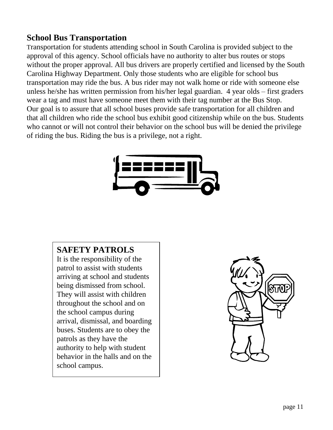## **School Bus Transportation**

Transportation for students attending school in South Carolina is provided subject to the approval of this agency. School officials have no authority to alter bus routes or stops without the proper approval. All bus drivers are properly certified and licensed by the South Carolina Highway Department. Only those students who are eligible for school bus transportation may ride the bus. A bus rider may not walk home or ride with someone else unless he/she has written permission from his/her legal guardian. 4 year olds – first graders wear a tag and must have someone meet them with their tag number at the Bus Stop. Our goal is to assure that all school buses provide safe transportation for all children and that all children who ride the school bus exhibit good citizenship while on the bus. Students who cannot or will not control their behavior on the school bus will be denied the privilege of riding the bus. Riding the bus is a privilege, not a right.



## **SAFETY PATROLS**

It is the responsibility of the patrol to assist with students arriving at school and students being dismissed from school. They will assist with children throughout the school and on the school campus during arrival, dismissal, and boarding buses. Students are to obey the patrols as they have the authority to help with student behavior in the halls and on the school campus.

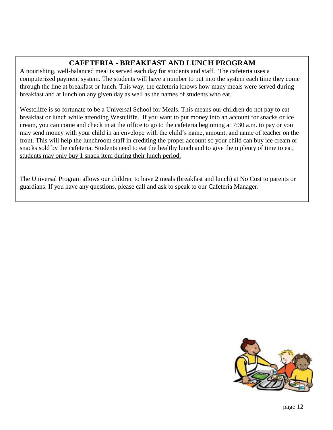## **CAFETERIA - BREAKFAST AND LUNCH PROGRAM**

A nourishing, well-balanced meal is served each day for students and staff. The cafeteria uses a computerized payment system. The students will have a number to put into the system each time they come through the line at breakfast or lunch. This way, the cafeteria knows how many meals were served during breakfast and at lunch on any given day as well as the names of students who eat.

Westcliffe is so fortunate to be a Universal School for Meals. This means our children do not pay to eat breakfast or lunch while attending Westcliffe. If you want to put money into an account for snacks or ice cream, you can come and check in at the office to go to the cafeteria beginning at 7:30 a.m. to pay or you may send money with your child in an envelope with the child's name, amount, and name of teacher on the front. This will help the lunchroom staff in crediting the proper account so your child can buy ice cream or snacks sold by the cafeteria. Students need to eat the healthy lunch and to give them plenty of time to eat, students may only buy 1 snack item during their lunch period.

The Universal Program allows our children to have 2 meals (breakfast and lunch) at No Cost to parents or guardians. If you have any questions, please call and ask to speak to our Cafeteria Manager.

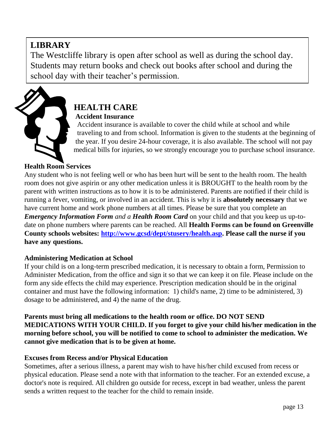## **LIBRARY**

The Westcliffe library is open after school as well as during the school day. Students may return books and check out books after school and during the school day with their teacher's permission.



## **HEALTH CARE Accident Insurance**

 Accident insurance is available to cover the child while at school and while traveling to and from school. Information is given to the students at the beginning of the year. If you desire 24-hour coverage, it is also available. The school will not pay medical bills for injuries, so we strongly encourage you to purchase school insurance.

### **Health Room Services**

Any student who is not feeling well or who has been hurt will be sent to the health room. The health room does not give aspirin or any other medication unless it is BROUGHT to the health room by the parent with written instructions as to how it is to be administered. Parents are notified if their child is running a fever, vomiting, or involved in an accident. This is why it is **absolutely necessary** that we have current home and work phone numbers at all times. Please be sure that you complete an *Emergency Information Form and a Health Room Card* on your child and that you keep us up-todate on phone numbers where parents can be reached. All **Health Forms can be found on Greenville County schools websites: [http://www.gcsd/dept/stusery/health.asp.](http://www.gcsd/dept/stusery/health.asp) Please call the nurse if you have any questions.**

#### **Administering Medication at School**

If your child is on a long-term prescribed medication, it is necessary to obtain a form, Permission to Administer Medication, from the office and sign it so that we can keep it on file. Please include on the form any side effects the child may experience. Prescription medication should be in the original container and must have the following information: 1) child's name, 2) time to be administered, 3) dosage to be administered, and 4) the name of the drug.

**Parents must bring all medications to the health room or office. DO NOT SEND MEDICATIONS WITH YOUR CHILD. If you forget to give your child his/her medication in the morning before school, you will be notified to come to school to administer the medication. We cannot give medication that is to be given at home.**

#### **Excuses from Recess and/or Physical Education**

Sometimes, after a serious illness, a parent may wish to have his/her child excused from recess or physical education. Please send a note with that information to the teacher. For an extended excuse, a doctor's note is required. All children go outside for recess, except in bad weather, unless the parent sends a written request to the teacher for the child to remain inside.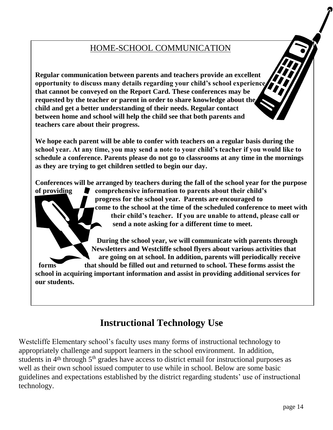## HOME-SCHOOL COMMUNICATION

**Regular communication between parents and teachers provide an excellent opportunity to discuss many details regarding your child's school experience that cannot be conveyed on the Report Card. These conferences may be requested by the teacher or parent in order to share knowledge about the child and get a better understanding of their needs. Regular contact between home and school will help the child see that both parents and teachers care about their progress.**

**We hope each parent will be able to confer with teachers on a regular basis during the school year. At any time, you may send a note to your child's teacher if you would like to schedule a conference. Parents please do not go to classrooms at any time in the mornings as they are trying to get children settled to begin our day.**

**Conferences will be arranged by teachers during the fall of the school year for the purpose of providing comprehensive information to parents about their child's progress for the school year. Parents are encouraged to come to the school at the time of the scheduled conference to meet with their child's teacher. If you are unable to attend, please call or send a note asking for a different time to meet.**

 **During the school year, we will communicate with parents through Newsletters and Westcliffe school flyers about various activities that are going on at school. In addition, parents will periodically receive forms that should be filled out and returned to school. These forms assist the school in acquiring important information and assist in providing additional services for our students.**

## **Instructional Technology Use**

Westcliffe Elementary school's faculty uses many forms of instructional technology to appropriately challenge and support learners in the school environment. In addition, students in  $4<sup>th</sup>$  through  $5<sup>th</sup>$  grades have access to district email for instructional purposes as well as their own school issued computer to use while in school. Below are some basic guidelines and expectations established by the district regarding students' use of instructional technology.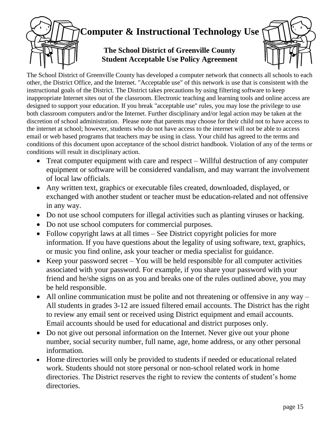# **Computer & Instructional Technology Use The School District of Greenville County Student Acceptable Use Policy Agreement**

The School District of Greenville County has developed a computer network that connects all schools to each other, the District Office, and the Internet. "Acceptable use" of this network is use that is consistent with the instructional goals of the District. The District takes precautions by using filtering software to keep inappropriate Internet sites out of the classroom. Electronic teaching and learning tools and online access are designed to support your education. If you break "acceptable use" rules, you may lose the privilege to use both classroom computers and/or the Internet. Further disciplinary and/or legal action may be taken at the discretion of school administration. Please note that parents may choose for their child not to have access to the internet at school; however, students who do not have access to the internet will not be able to access email or web based programs that teachers may be using in class. Your child has agreed to the terms and conditions of this document upon acceptance of the school district handbook. Violation of any of the terms or conditions will result in disciplinary action.

- Treat computer equipment with care and respect Willful destruction of any computer equipment or software will be considered vandalism, and may warrant the involvement of local law officials.
- Any written text, graphics or executable files created, downloaded, displayed, or exchanged with another student or teacher must be education-related and not offensive in any way.
- Do not use school computers for illegal activities such as planting viruses or hacking.
- Do not use school computers for commercial purposes.
- Follow copyright laws at all times See District copyright policies for more information. If you have questions about the legality of using software, text, graphics, or music you find online, ask your teacher or media specialist for guidance.
- Keep your password secret  $-$  You will be held responsible for all computer activities associated with your password. For example, if you share your password with your friend and he/she signs on as you and breaks one of the rules outlined above, you may be held responsible.
- All online communication must be polite and not threatening or offensive in any way  $-$ All students in grades 3-12 are issued filtered email accounts. The District has the right to review any email sent or received using District equipment and email accounts. Email accounts should be used for educational and district purposes only.
- Do not give out personal information on the Internet. Never give out your phone number, social security number, full name, age, home address, or any other personal information.
- Home directories will only be provided to students if needed or educational related work. Students should not store personal or non-school related work in home directories. The District reserves the right to review the contents of student's home directories.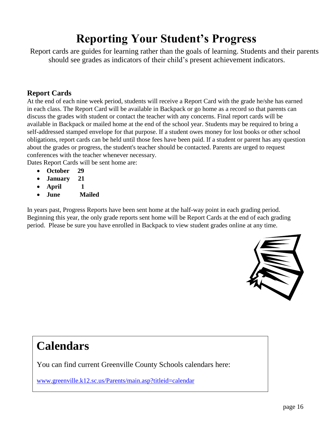# **Reporting Your Student's Progress**

 Report cards are guides for learning rather than the goals of learning. Students and their parents should see grades as indicators of their child's present achievement indicators.

#### **Report Cards**

At the end of each nine week period, students will receive a Report Card with the grade he/she has earned in each class. The Report Card will be available in Backpack or go home as a record so that parents can discuss the grades with student or contact the teacher with any concerns. Final report cards will be available in Backpack or mailed home at the end of the school year. Students may be required to bring a self-addressed stamped envelope for that purpose. If a student owes money for lost books or other school obligations, report cards can be held until those fees have been paid. If a student or parent has any question about the grades or progress, the student's teacher should be contacted. Parents are urged to request conferences with the teacher whenever necessary.

Dates Report Cards will be sent home are:

- **October 29**
- **January 21**
- **April 1**
- **June Mailed**

In years past, Progress Reports have been sent home at the half-way point in each grading period. Beginning this year, the only grade reports sent home will be Report Cards at the end of each grading period. Please be sure you have enrolled in Backpack to view student grades online at any time.



# **Calendars**

You can find current Greenville County Schools calendars here:

[www.greenville.k12.sc.us/Parents/main.asp?titleid=calendar](http://www.greenville.k12.sc.us/Parents/main.asp?titleid=calendar)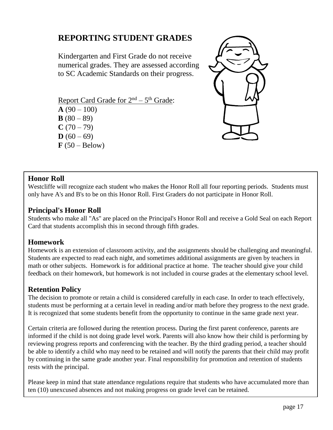## **REPORTING STUDENT GRADES**

Kindergarten and First Grade do not receive numerical grades. They are assessed according to SC Academic Standards on their progress.

Report Card Grade for  $2<sup>nd</sup> - 5<sup>th</sup>$  Grade:  $A(90-100)$ **B**  $(80 - 89)$  $C(70-79)$  $D (60 - 69)$  $\mathbf{F}$  (50 – Below)



#### **Honor Roll**

Westcliffe will recognize each student who makes the Honor Roll all four reporting periods. Students must only have A's and B's to be on this Honor Roll. First Graders do not participate in Honor Roll.

#### **Principal's Honor Roll**

Students who make all "As" are placed on the Principal's Honor Roll and receive a Gold Seal on each Report Card that students accomplish this in second through fifth grades.

#### **Homework**

Homework is an extension of classroom activity, and the assignments should be challenging and meaningful. Students are expected to read each night, and sometimes additional assignments are given by teachers in math or other subjects. Homework is for additional practice at home. The teacher should give your child feedback on their homework, but homework is not included in course grades at the elementary school level.

#### **Retention Policy**

The decision to promote or retain a child is considered carefully in each case. In order to teach effectively, students must be performing at a certain level in reading and/or math before they progress to the next grade. It is recognized that some students benefit from the opportunity to continue in the same grade next year.

Certain criteria are followed during the retention process. During the first parent conference, parents are informed if the child is not doing grade level work. Parents will also know how their child is performing by reviewing progress reports and conferencing with the teacher. By the third grading period, a teacher should be able to identify a child who may need to be retained and will notify the parents that their child may profit by continuing in the same grade another year. Final responsibility for promotion and retention of students rests with the principal.

Please keep in mind that state attendance regulations require that students who have accumulated more than ten (10) unexcused absences and not making progress on grade level can be retained.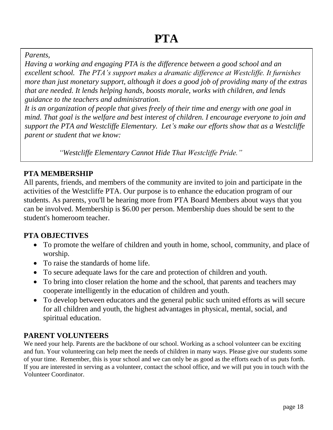#### *Parents,*

*Having a working and engaging PTA is the difference between a good school and an excellent school. The PTA's support makes a dramatic difference at Westcliffe. It furnishes more than just monetary support, although it does a good job of providing many of the extras that are needed. It lends helping hands, boosts morale, works with children, and lends guidance to the teachers and administration.*

*It is an organization of people that gives freely of their time and energy with one goal in mind. That goal is the welfare and best interest of children. I encourage everyone to join and support the PTA and Westcliffe Elementary. Let's make our efforts show that as a Westcliffe parent or student that we know:*

 *"Westcliffe Elementary Cannot Hide That Westcliffe Pride."* 

 *gan*

#### **PTA MEMBERSHIP**

All parents, friends, and members of the community are invited to join and participate in the activities of the Westcliffe PTA. Our purpose is to enhance the education program of our students. As parents, you'll be hearing more from PTA Board Members about ways that you can be involved. Membership is \$6.00 per person. Membership dues should be sent to the student's homeroom teacher.

#### **PTA OBJECTIVES**

- To promote the welfare of children and youth in home, school, community, and place of worship.
- To raise the standards of home life.
- To secure adequate laws for the care and protection of children and youth.
- To bring into closer relation the home and the school, that parents and teachers may cooperate intelligently in the education of children and youth.
- To develop between educators and the general public such united efforts as will secure for all children and youth, the highest advantages in physical, mental, social, and spiritual education.

#### **PARENT VOLUNTEERS**

We need your help. Parents are the backbone of our school. Working as a school volunteer can be exciting and fun. Your volunteering can help meet the needs of children in many ways. Please give our students some of your time. Remember, this is your school and we can only be as good as the efforts each of us puts forth. If you are interested in serving as a volunteer, contact the school office, and we will put you in touch with the Volunteer Coordinator.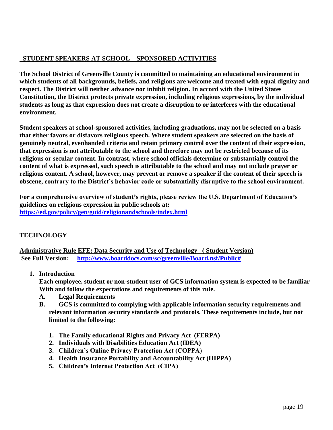#### **STUDENT SPEAKERS AT SCHOOL – SPONSORED ACTIVITIES**

**The School District of Greenville County is committed to maintaining an educational environment in which students of all backgrounds, beliefs, and religions are welcome and treated with equal dignity and respect. The District will neither advance nor inhibit religion. In accord with the United States Constitution, the District protects private expression, including religious expressions, by the individual students as long as that expression does not create a disruption to or interferes with the educational environment.**

**Student speakers at school-sponsored activities, including graduations, may not be selected on a basis that either favors or disfavors religious speech. Where student speakers are selected on the basis of genuinely neutral, evenhanded criteria and retain primary control over the content of their expression, that expression is not attributable to the school and therefore may not be restricted because of its religious or secular content. In contrast, where school officials determine or substantially control the content of what is expressed, such speech is attributable to the school and may not include prayer or religious content. A school, however, may prevent or remove a speaker if the content of their speech is obscene, contrary to the District's behavior code or substantially disruptive to the school environment.**

**For a comprehensive overview of student's rights, please review the U.S. Department of Education's guidelines on religious expression in public schools at: <https://ed.gov/policy/gen/guid/religionandschools/index.html>**

#### **TECHNOLOGY**

**Administrative Rule EFE: Data Security and Use of Technology ( Student Version) See Full Version: [http://www.boarddocs.com/sc/greenville/Board.nsf/Public#](http://www.boarddocs.com/sc/greenville/Board.nsf/Public)**

**1. Introduction**

**Each employee, student or non-student user of GCS information system is expected to be familiar With and follow the expectations and requirements of this rule.**

- **A. Legal Requirements**
- **B. GCS is committed to complying with applicable information security requirements and relevant information security standards and protocols. These requirements include, but not limited to the following:**
	- **1. The Family educational Rights and Privacy Act (FERPA)**
	- **2. Individuals with Disabilities Education Act (IDEA)**
	- **3. Children's Online Privacy Protection Act (COPPA)**
	- **4. Health Insurance Portability and Accountability Act (HIPPA)**
	- **5. Children's Internet Protection Act (CIPA)**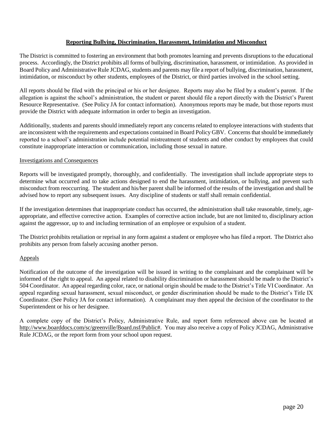#### **Reporting Bullying, Discrimination, Harassment, Intimidation and Misconduct**

The District is committed to fostering an environment that both promotes learning and prevents disruptions to the educational process. Accordingly, the District prohibits all forms of bullying, discrimination, harassment, or intimidation. As provided in Board Policy and Administrative Rule JCDAG, students and parents may file a report of bullying, discrimination, harassment, intimidation, or misconduct by other students, employees of the District, or third parties involved in the school setting.

All reports should be filed with the principal or his or her designee. Reports may also be filed by a student's parent. If the allegation is against the school's administration, the student or parent should file a report directly with the District's Parent Resource Representative. (See Policy JA for contact information). Anonymous reports may be made, but those reports must provide the District with adequate information in order to begin an investigation.

Additionally, students and parents should immediately report any concerns related to employee interactions with students that are inconsistent with the requirements and expectations contained in Board Policy GBV. Concerns that should be immediately reported to a school's administration include potential mistreatment of students and other conduct by employees that could constitute inappropriate interaction or communication, including those sexual in nature.

#### Investigations and Consequences

Reports will be investigated promptly, thoroughly, and confidentially. The investigation shall include appropriate steps to determine what occurred and to take actions designed to end the harassment, intimidation, or bullying, and prevent such misconduct from reoccurring. The student and his/her parent shall be informed of the results of the investigation and shall be advised how to report any subsequent issues. Any discipline of students or staff shall remain confidential.

If the investigation determines that inappropriate conduct has occurred, the administration shall take reasonable, timely, ageappropriate, and effective corrective action. Examples of corrective action include, but are not limited to, disciplinary action against the aggressor, up to and including termination of an employee or expulsion of a student.

The District prohibits retaliation or reprisal in any form against a student or employee who has filed a report. The District also prohibits any person from falsely accusing another person.

#### Appeals

Notification of the outcome of the investigation will be issued in writing to the complainant and the complainant will be informed of the right to appeal. An appeal related to disability discrimination or harassment should be made to the District's 504 Coordinator. An appeal regarding color, race, or national origin should be made to the District's Title VI Coordinator. An appeal regarding sexual harassment, sexual misconduct, or gender discrimination should be made to the District's Title IX Coordinator. (See Policy JA for contact information). A complainant may then appeal the decision of the coordinator to the Superintendent or his or her designee.

A complete copy of the District's Policy, Administrative Rule, and report form referenced above can be located at [http://www.boarddocs.com/sc/greenville/Board.nsf/Public#.](http://www.boarddocs.com/sc/greenville/Board.nsf/Public) You may also receive a copy of Policy JCDAG, Administrative Rule JCDAG, or the report form from your school upon request.